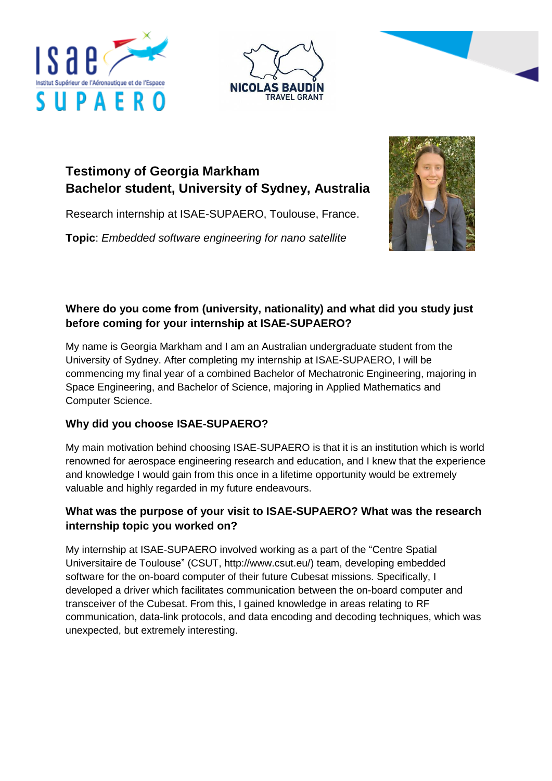





# **Testimony of Georgia Markham Bachelor student, University of Sydney, Australia**

Research internship at ISAE-SUPAERO, Toulouse, France.

**Topic**: *Embedded software engineering for nano satellite*



#### **Where do you come from (university, nationality) and what did you study just before coming for your internship at ISAE-SUPAERO?**

My name is Georgia Markham and I am an Australian undergraduate student from the University of Sydney. After completing my internship at ISAE-SUPAERO, I will be commencing my final year of a combined Bachelor of Mechatronic Engineering, majoring in Space Engineering, and Bachelor of Science, majoring in Applied Mathematics and Computer Science.

## **Why did you choose ISAE-SUPAERO?**

My main motivation behind choosing ISAE-SUPAERO is that it is an institution which is world renowned for aerospace engineering research and education, and I knew that the experience and knowledge I would gain from this once in a lifetime opportunity would be extremely valuable and highly regarded in my future endeavours.

## **What was the purpose of your visit to ISAE-SUPAERO? What was the research internship topic you worked on?**

My internship at ISAE-SUPAERO involved working as a part of the "Centre Spatial Universitaire de Toulouse" (CSUT, [http://www.csut.eu/\)](http://www.csut.eu/) team, developing embedded software for the on-board computer of their future Cubesat missions. Specifically, I developed a driver which facilitates communication between the on-board computer and transceiver of the Cubesat. From this, I gained knowledge in areas relating to RF communication, data-link protocols, and data encoding and decoding techniques, which was unexpected, but extremely interesting.